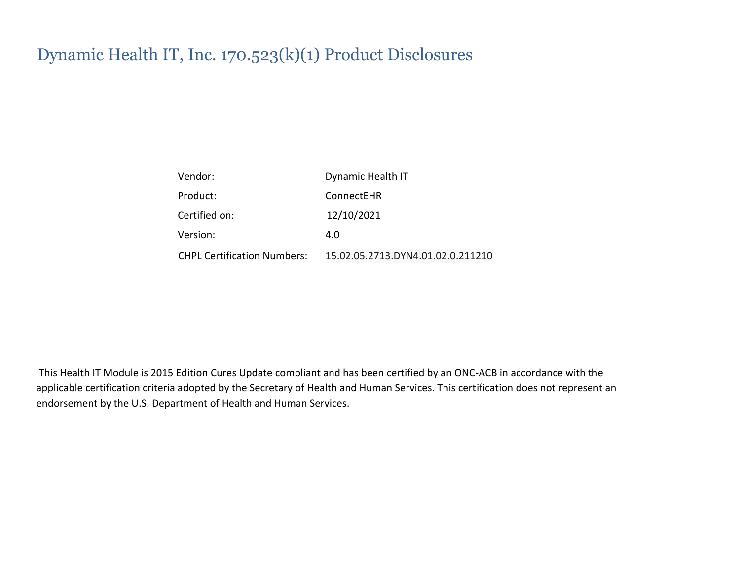| Vendor:                            | Dynamic Health IT                 |
|------------------------------------|-----------------------------------|
| Product:                           | ConnectEHR                        |
| Certified on:                      | 12/10/2021                        |
| Version:                           | 4.0                               |
| <b>CHPL Certification Numbers:</b> | 15.02.05.2713.DYN4.01.02.0.211210 |

This Health IT Module is 2015 Edition Cures Update compliant and has been certified by an ONC-ACB in accordance with the applicable certification criteria adopted by the Secretary of Health and Human Services. This certification does not represent an endorsement by the U.S. Department of Health and Human Services.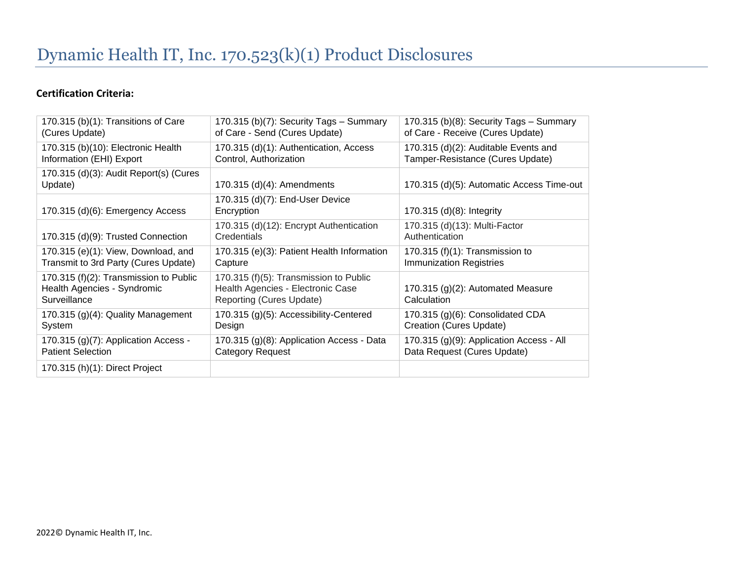## **Certification Criteria:**

| 170.315 (b)(1): Transitions of Care<br>(Cures Update)                                 | 170.315 (b)(7): Security Tags - Summary<br>of Care - Send (Cures Update)                                | 170.315 (b)(8): Security Tags - Summary<br>of Care - Receive (Cures Update) |
|---------------------------------------------------------------------------------------|---------------------------------------------------------------------------------------------------------|-----------------------------------------------------------------------------|
| 170.315 (b)(10): Electronic Health<br>Information (EHI) Export                        | 170.315 (d)(1): Authentication, Access<br>Control, Authorization                                        | 170.315 (d)(2): Auditable Events and<br>Tamper-Resistance (Cures Update)    |
| 170.315 (d)(3): Audit Report(s) (Cures<br>Update)                                     | 170.315 (d)(4): Amendments                                                                              | 170.315 (d)(5): Automatic Access Time-out                                   |
| 170.315 (d)(6): Emergency Access                                                      | 170.315 (d)(7): End-User Device<br>Encryption                                                           | 170.315 (d)(8): Integrity                                                   |
| 170.315 (d)(9): Trusted Connection                                                    | 170.315 (d)(12): Encrypt Authentication<br>Credentials                                                  | 170.315 (d)(13): Multi-Factor<br>Authentication                             |
| 170.315 (e)(1): View, Download, and<br>Transmit to 3rd Party (Cures Update)           | 170.315 (e)(3): Patient Health Information<br>Capture                                                   | 170.315 (f) $(1)$ : Transmission to<br><b>Immunization Registries</b>       |
| 170.315 (f)(2): Transmission to Public<br>Health Agencies - Syndromic<br>Surveillance | 170.315 (f)(5): Transmission to Public<br>Health Agencies - Electronic Case<br>Reporting (Cures Update) | 170.315 (g)(2): Automated Measure<br>Calculation                            |
| 170.315 (g)(4): Quality Management<br>System                                          | 170.315 (g)(5): Accessibility-Centered<br>Design                                                        | 170.315 (g)(6): Consolidated CDA<br>Creation (Cures Update)                 |
| 170.315 (g)(7): Application Access -<br><b>Patient Selection</b>                      | 170.315 (g)(8): Application Access - Data<br>Category Request                                           | 170.315 (g)(9): Application Access - All<br>Data Request (Cures Update)     |
| 170.315 (h)(1): Direct Project                                                        |                                                                                                         |                                                                             |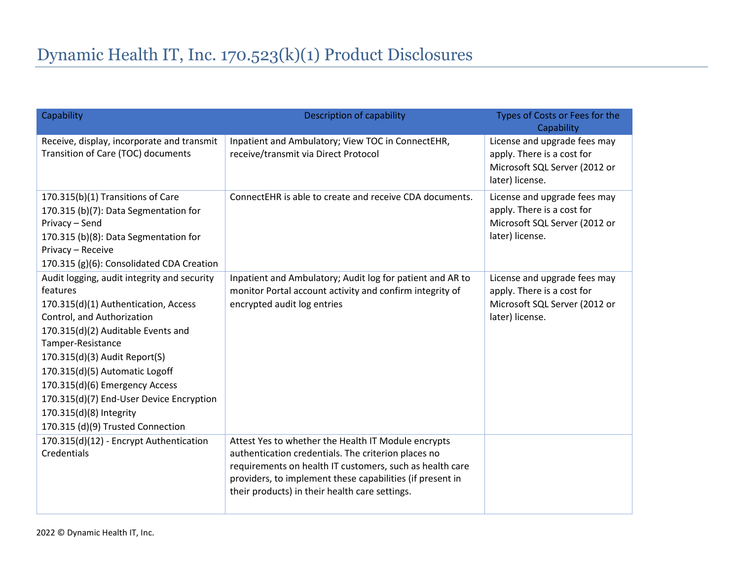| Capability                                                                                                                                                                                                                                                                                                                                                                                                | Description of capability                                                                                                                                                                                                                                                             | Types of Costs or Fees for the<br>Capability                                                                   |
|-----------------------------------------------------------------------------------------------------------------------------------------------------------------------------------------------------------------------------------------------------------------------------------------------------------------------------------------------------------------------------------------------------------|---------------------------------------------------------------------------------------------------------------------------------------------------------------------------------------------------------------------------------------------------------------------------------------|----------------------------------------------------------------------------------------------------------------|
| Receive, display, incorporate and transmit<br>Transition of Care (TOC) documents                                                                                                                                                                                                                                                                                                                          | Inpatient and Ambulatory; View TOC in ConnectEHR,<br>receive/transmit via Direct Protocol                                                                                                                                                                                             | License and upgrade fees may<br>apply. There is a cost for<br>Microsoft SQL Server (2012 or<br>later) license. |
| 170.315(b)(1) Transitions of Care<br>170.315 (b)(7): Data Segmentation for<br>Privacy - Send<br>170.315 (b)(8): Data Segmentation for<br>Privacy - Receive<br>170.315 (g)(6): Consolidated CDA Creation                                                                                                                                                                                                   | ConnectEHR is able to create and receive CDA documents.                                                                                                                                                                                                                               | License and upgrade fees may<br>apply. There is a cost for<br>Microsoft SQL Server (2012 or<br>later) license. |
| Audit logging, audit integrity and security<br>features<br>170.315(d)(1) Authentication, Access<br>Control, and Authorization<br>170.315(d)(2) Auditable Events and<br>Tamper-Resistance<br>170.315(d)(3) Audit Report(S)<br>170.315(d)(5) Automatic Logoff<br>170.315(d)(6) Emergency Access<br>170.315(d)(7) End-User Device Encryption<br>170.315(d)(8) Integrity<br>170.315 (d)(9) Trusted Connection | Inpatient and Ambulatory; Audit log for patient and AR to<br>monitor Portal account activity and confirm integrity of<br>encrypted audit log entries                                                                                                                                  | License and upgrade fees may<br>apply. There is a cost for<br>Microsoft SQL Server (2012 or<br>later) license. |
| 170.315(d)(12) - Encrypt Authentication<br>Credentials                                                                                                                                                                                                                                                                                                                                                    | Attest Yes to whether the Health IT Module encrypts<br>authentication credentials. The criterion places no<br>requirements on health IT customers, such as health care<br>providers, to implement these capabilities (if present in<br>their products) in their health care settings. |                                                                                                                |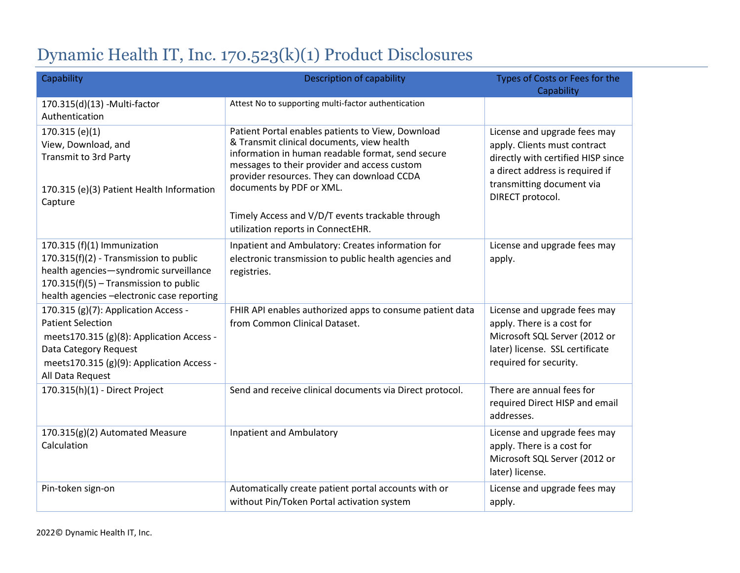## Dynamic Health IT, Inc. 170.523(k)(1) Product Disclosures

| Capability                                                                                                                                                                                               | <b>Description of capability</b>                                                                                                                                                                                                                                               | Types of Costs or Fees for the<br>Capability                                                                                                                                           |
|----------------------------------------------------------------------------------------------------------------------------------------------------------------------------------------------------------|--------------------------------------------------------------------------------------------------------------------------------------------------------------------------------------------------------------------------------------------------------------------------------|----------------------------------------------------------------------------------------------------------------------------------------------------------------------------------------|
| 170.315(d)(13) - Multi-factor<br>Authentication                                                                                                                                                          | Attest No to supporting multi-factor authentication                                                                                                                                                                                                                            |                                                                                                                                                                                        |
| 170.315(e)(1)<br>View, Download, and<br><b>Transmit to 3rd Party</b><br>170.315 (e)(3) Patient Health Information<br>Capture                                                                             | Patient Portal enables patients to View, Download<br>& Transmit clinical documents, view health<br>information in human readable format, send secure<br>messages to their provider and access custom<br>provider resources. They can download CCDA<br>documents by PDF or XML. | License and upgrade fees may<br>apply. Clients must contract<br>directly with certified HISP since<br>a direct address is required if<br>transmitting document via<br>DIRECT protocol. |
|                                                                                                                                                                                                          | Timely Access and V/D/T events trackable through<br>utilization reports in ConnectEHR.                                                                                                                                                                                         |                                                                                                                                                                                        |
| 170.315 (f)(1) Immunization<br>170.315(f)(2) - Transmission to public<br>health agencies-syndromic surveillance<br>170.315(f)(5) - Transmission to public<br>health agencies - electronic case reporting | Inpatient and Ambulatory: Creates information for<br>electronic transmission to public health agencies and<br>registries.                                                                                                                                                      | License and upgrade fees may<br>apply.                                                                                                                                                 |
| 170.315 (g)(7): Application Access -<br><b>Patient Selection</b><br>meets170.315 (g)(8): Application Access -<br>Data Category Request<br>meets170.315 (g)(9): Application Access -<br>All Data Request  | FHIR API enables authorized apps to consume patient data<br>from Common Clinical Dataset.                                                                                                                                                                                      | License and upgrade fees may<br>apply. There is a cost for<br>Microsoft SQL Server (2012 or<br>later) license. SSL certificate<br>required for security.                               |
| 170.315(h)(1) - Direct Project                                                                                                                                                                           | Send and receive clinical documents via Direct protocol.                                                                                                                                                                                                                       | There are annual fees for<br>required Direct HISP and email<br>addresses.                                                                                                              |
| 170.315(g)(2) Automated Measure<br>Calculation                                                                                                                                                           | <b>Inpatient and Ambulatory</b>                                                                                                                                                                                                                                                | License and upgrade fees may<br>apply. There is a cost for<br>Microsoft SQL Server (2012 or<br>later) license.                                                                         |
| Pin-token sign-on                                                                                                                                                                                        | Automatically create patient portal accounts with or<br>without Pin/Token Portal activation system                                                                                                                                                                             | License and upgrade fees may<br>apply.                                                                                                                                                 |